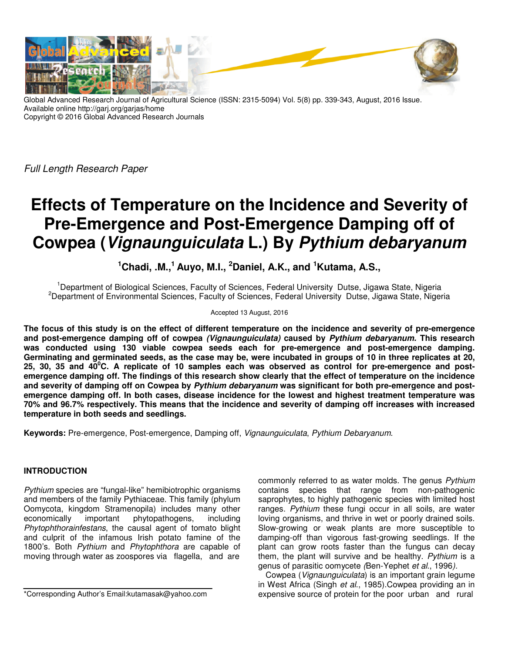

Global Advanced Research Journal of Agricultural Science (ISSN: 2315-5094) Vol. 5(8) pp. 339-343, August, 2016 Issue. Available online http://garj.org/garjas/home Copyright © 2016 Global Advanced Research Journals

Full Length Research Paper

# **Effects of Temperature on the Incidence and Severity of Pre-Emergence and Post-Emergence Damping off of Cowpea (Vignaunguiculata L.) By Pythium debaryanum**

**<sup>1</sup>Chadi, .M.,<sup>1</sup>Auyo, M.I., <sup>2</sup>Daniel, A.K., and <sup>1</sup>Kutama, A.S.,** 

<sup>1</sup>Department of Biological Sciences, Faculty of Sciences, Federal University Dutse, Jigawa State, Nigeria <sup>2</sup>Department of Environmental Sciences, Faculty of Sciences, Federal University Dutse, Jigawa State, Nigeria

## Accepted 13 August, 2016

**The focus of this study is on the effect of different temperature on the incidence and severity of pre-emergence and post-emergence damping off of cowpea (Vignaunguiculata) caused by Pythium debaryanum. This research was conducted using 130 viable cowpea seeds each for pre-emergence and post-emergence damping. Germinating and germinated seeds, as the case may be, were incubated in groups of 10 in three replicates at 20, 25, 30, 35 and 40<sup>0</sup>C. A replicate of 10 samples each was observed as control for pre-emergence and postemergence damping off. The findings of this research show clearly that the effect of temperature on the incidence and severity of damping off on Cowpea by Pythium debaryanum was significant for both pre-emergence and postemergence damping off. In both cases, disease incidence for the lowest and highest treatment temperature was 70% and 96.7% respectively. This means that the incidence and severity of damping off increases with increased temperature in both seeds and seedlings.** 

**Keywords:** Pre-emergence, Post-emergence, Damping off, Vignaunguiculata, Pythium Debaryanum.

## **INTRODUCTION**

Pythium species are "fungal-like" hemibiotrophic organisms and members of the family Pythiaceae. This family (phylum Oomycota, kingdom Stramenopila) includes many other economically important phytopathogens, including Phytophthorainfestans, the causal agent of tomato blight and culprit of the infamous Irish potato famine of the 1800's. Both Pythium and Phytophthora are capable of moving through water as zoospores via flagella, and are

commonly referred to as water molds. The genus Pythium contains species that range from non-pathogenic saprophytes, to highly pathogenic species with limited host ranges. Pythium these fungi occur in all soils, are water loving organisms, and thrive in wet or poorly drained soils. Slow-growing or weak plants are more susceptible to damping-off than vigorous fast-growing seedlings. If the plant can grow roots faster than the fungus can decay them, the plant will survive and be healthy. Pythium is a genus of parasitic oomycete (Ben-Yephet et al., 1996).

Cowpea (Vignaunguiculata) is an important grain legume in West Africa (Singh et al., 1985).Cowpea providing an in expensive source of protein for the poor urban and rural

<sup>\*</sup>Corresponding Author's Email:kutamasak@yahoo.com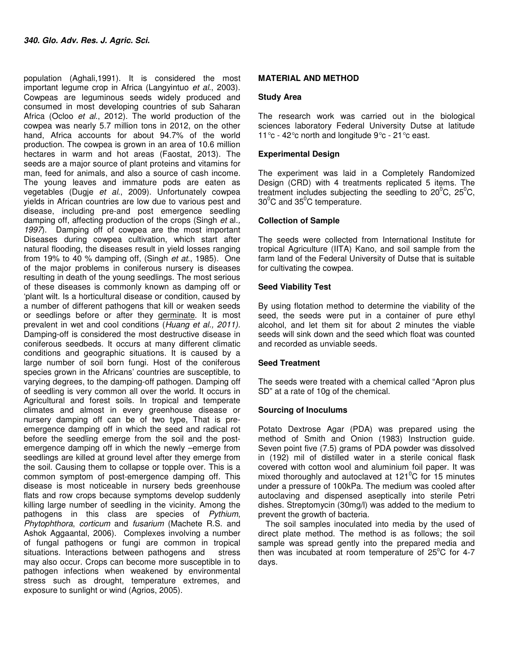population (Aghali,1991). It is considered the most important legume crop in Africa (Langyintuo et al., 2003). Cowpeas are leguminous seeds widely produced and consumed in most developing countries of sub Saharan Africa (Ocloo et al., 2012). The world production of the cowpea was nearly 5.7 million tons in 2012, on the other hand, Africa accounts for about 94.7% of the world production. The cowpea is grown in an area of 10.6 million hectares in warm and hot areas (Faostat, 2013). The seeds are a major source of plant proteins and vitamins for man, feed for animals, and also a source of cash income. The young leaves and immature pods are eaten as vegetables (Dugje et al., 2009). Unfortunately cowpea yields in African countries are low due to various pest and disease, including pre-and post emergence seedling damping off, affecting production of the crops (Singh et al., 1997). Damping off of cowpea are the most important Diseases during cowpea cultivation, which start after natural flooding, the diseases result in yield losses ranging from 19% to 40 % damping off, (Singh et at., 1985). One of the major problems in coniferous nursery is diseases resulting in death of the young seedlings. The most serious of these diseases is commonly known as damping off or 'plant wilt. Is a horticultural disease or condition, caused by a number of different pathogens that kill or weaken seeds or seedlings before or after they germinate. It is most prevalent in wet and cool conditions (Huang et al., 2011). Damping-off is considered the most destructive disease in coniferous seedbeds. It occurs at many different climatic conditions and geographic situations. It is caused by a large number of soil born fungi. Host of the coniferous species grown in the Africans' countries are susceptible, to varying degrees, to the damping-off pathogen. Damping off of seedling is very common all over the world. It occurs in Agricultural and forest soils. In tropical and temperate climates and almost in every greenhouse disease or nursery damping off can be of two type, That is preemergence damping off in which the seed and radical rot before the seedling emerge from the soil and the postemergence damping off in which the newly –emerge from seedlings are killed at ground level after they emerge from the soil. Causing them to collapse or topple over. This is a common symptom of post-emergence damping off. This disease is most noticeable in nursery beds greenhouse flats and row crops because symptoms develop suddenly killing large number of seedling in the vicinity. Among the pathogens in this class are species of Pythium, Phytophthora, corticum and fusarium (Machete R.S. and Ashok Aggaantal, 2006). Complexes involving a number of fungal pathogens or fungi are common in tropical situations. Interactions between pathogens and stress may also occur. Crops can become more susceptible in to pathogen infections when weakened by environmental stress such as drought, temperature extremes, and exposure to sunlight or wind (Agrios, 2005).

## **MATERIAL AND METHOD**

## **Study Area**

The research work was carried out in the biological sciences laboratory Federal University Dutse at latitude 11°c - 42°c north and longitude 9°c - 21°c east.

# **Experimental Design**

The experiment was laid in a Completely Randomized Design (CRD) with 4 treatments replicated 5 items. The treatment includes subjecting the seedling to  $20^{\circ}$ C,  $25^{\circ}$ C,  $30^{\circ}$ C and  $35^{\circ}$ C temperature.

## **Collection of Sample**

The seeds were collected from International Institute for tropical Agriculture (IITA) Kano, and soil sample from the farm land of the Federal University of Dutse that is suitable for cultivating the cowpea.

## **Seed Viability Test**

By using flotation method to determine the viability of the seed, the seeds were put in a container of pure ethyl alcohol, and let them sit for about 2 minutes the viable seeds will sink down and the seed which float was counted and recorded as unviable seeds.

## **Seed Treatment**

The seeds were treated with a chemical called "Apron plus SD" at a rate of 10g of the chemical.

## **Sourcing of Inoculums**

Potato Dextrose Agar (PDA) was prepared using the method of Smith and Onion (1983) Instruction guide. Seven point five (7.5) grams of PDA powder was dissolved in (192) mil of distilled water in a sterile conical flask covered with cotton wool and aluminium foil paper. It was mixed thoroughly and autoclaved at  $121^{\circ}$ C for 15 minutes under a pressure of 100kPa. The medium was cooled after autoclaving and dispensed aseptically into sterile Petri dishes. Streptomycin (30mg/l) was added to the medium to prevent the growth of bacteria.

The soil samples inoculated into media by the used of direct plate method. The method is as follows; the soil sample was spread gently into the prepared media and then was incubated at room temperature of  $25^{\circ}$ C for 4-7 days.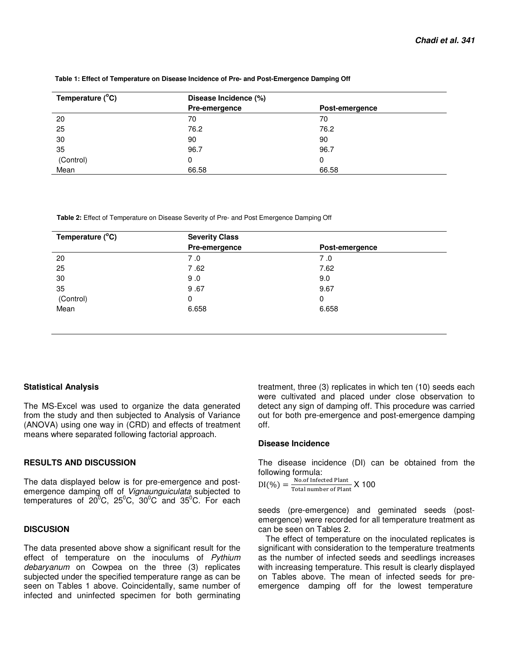| Temperature $(^{\circ}C)$ | Disease Incidence (%) |                |  |
|---------------------------|-----------------------|----------------|--|
|                           | Pre-emergence         | Post-emergence |  |
| 20                        | 70                    | 70             |  |
| 25                        | 76.2                  | 76.2           |  |
| 30                        | 90                    | 90             |  |
| 35                        | 96.7                  | 96.7           |  |
| (Control)                 | 0                     |                |  |
| Mean                      | 66.58                 | 66.58          |  |

#### **Table 1: Effect of Temperature on Disease Incidence of Pre- and Post-Emergence Damping Off**

 **Table 2:** Effect of Temperature on Disease Severity of Pre- and Post Emergence Damping Off

| Temperature $(^{\circ}C)$ | <b>Severity Class</b> |                |  |
|---------------------------|-----------------------|----------------|--|
|                           | Pre-emergence         | Post-emergence |  |
| 20                        | 7.0                   | 7.0            |  |
| 25                        | 7.62                  | 7.62           |  |
| 30                        | 9.0                   | 9.0            |  |
| 35                        | 9.67                  | 9.67           |  |
| (Control)                 | 0                     | 0              |  |
| Mean                      | 6.658                 | 6.658          |  |
|                           |                       |                |  |

## **Statistical Analysis**

The MS-Excel was used to organize the data generated from the study and then subjected to Analysis of Variance (ANOVA) using one way in (CRD) and effects of treatment means where separated following factorial approach.

## **RESULTS AND DISCUSSION**

The data displayed below is for pre-emergence and postemergence damping off of Vignaunguiculata subjected to temperatures of  $20^{\circ}$ C,  $25^{\circ}$ C,  $30^{\circ}$ C and  $35^{\circ}$ C. For each

## **DISCUSION**

The data presented above show a significant result for the effect of temperature on the inoculums of Pythium debaryanum on Cowpea on the three (3) replicates subjected under the specified temperature range as can be seen on Tables 1 above. Coincidentally, same number of infected and uninfected specimen for both germinating treatment, three (3) replicates in which ten (10) seeds each were cultivated and placed under close observation to detect any sign of damping off. This procedure was carried out for both pre-emergence and post-emergence damping off.

## **Disease Incidence**

The disease incidence (DI) can be obtained from the following formula:

 $DI(\%) = \frac{No. of Infected Plant}{Total number of Plan}$ No. of Infected Fiant X 100

seeds (pre-emergence) and geminated seeds (postemergence) were recorded for all temperature treatment as can be seen on Tables 2.

The effect of temperature on the inoculated replicates is significant with consideration to the temperature treatments as the number of infected seeds and seedlings increases with increasing temperature. This result is clearly displayed on Tables above. The mean of infected seeds for preemergence damping off for the lowest temperature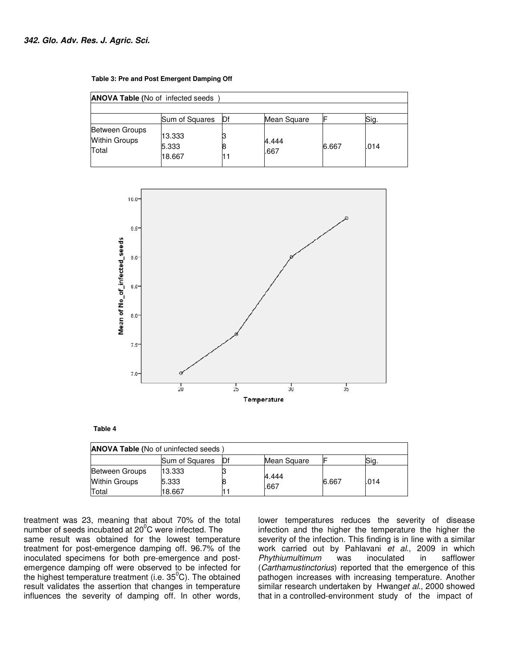| <b>ANOVA Table (No of infected seeds)</b>              |                           |     |               |       |      |
|--------------------------------------------------------|---------------------------|-----|---------------|-------|------|
|                                                        |                           |     |               |       |      |
|                                                        | Sum of Squares            | IDf | Mean Square   |       | Sig. |
| <b>Between Groups</b><br><b>Within Groups</b><br>Total | 13.333<br>5.333<br>18.667 |     | 4.444<br>.667 | 6.667 | .014 |



#### **Table 4**

| <b>ANOVA Table (No of uninfected seeds)</b> |                |     |               |       |      |
|---------------------------------------------|----------------|-----|---------------|-------|------|
|                                             | Sum of Squares | IDf | Mean Square   |       | Sig. |
| Between Groups                              | 13.333         |     |               |       |      |
| <b>Within Groups</b>                        | 5.333          |     | 4.444<br>.667 | 6.667 | .014 |
| Total                                       | 18.667         |     |               |       |      |

treatment was 23, meaning that about 70% of the total number of seeds incubated at  $20^{\circ}$ C were infected. The same result was obtained for the lowest temperature treatment for post-emergence damping off. 96.7% of the inoculated specimens for both pre-emergence and postemergence damping off were observed to be infected for the highest temperature treatment (i.e.  $35^{\circ}$ C). The obtained result validates the assertion that changes in temperature influences the severity of damping off. In other words, lower temperatures reduces the severity of disease infection and the higher the temperature the higher the severity of the infection. This finding is in line with a similar work carried out by Pahlavani et al., 2009 in which Phythiumultimum was inoculated in safflower (Carthamustinctorius) reported that the emergence of this pathogen increases with increasing temperature. Another similar research undertaken by Hwanget al., 2000 showed that in a controlled-environment study of the impact of

#### **Table 3: Pre and Post Emergent Damping Off**